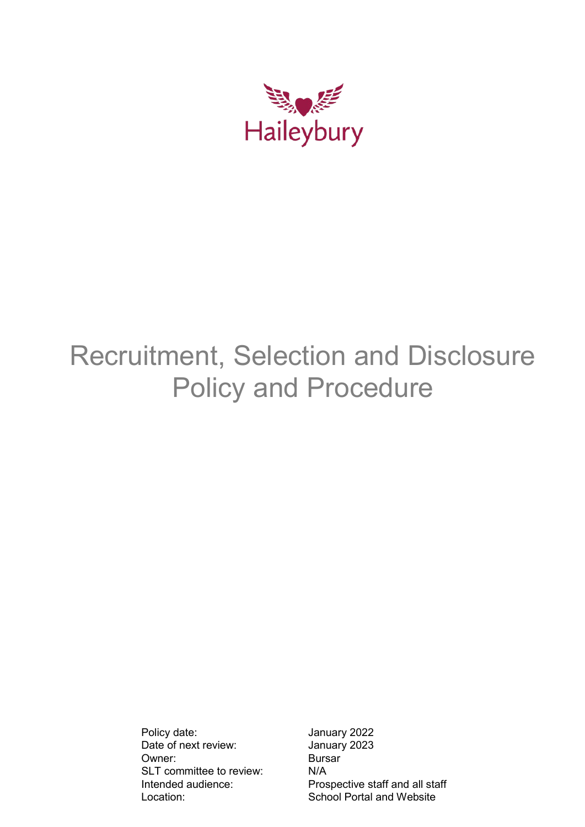

# Recruitment, Selection and Disclosure Policy and Procedure

Policy date: January 2022 Date of next review: January 2023 Owner: Bursar SLT committee to review: N/A<br>Intended audience: Pros

Prospective staff and all staff Location: School Portal and Website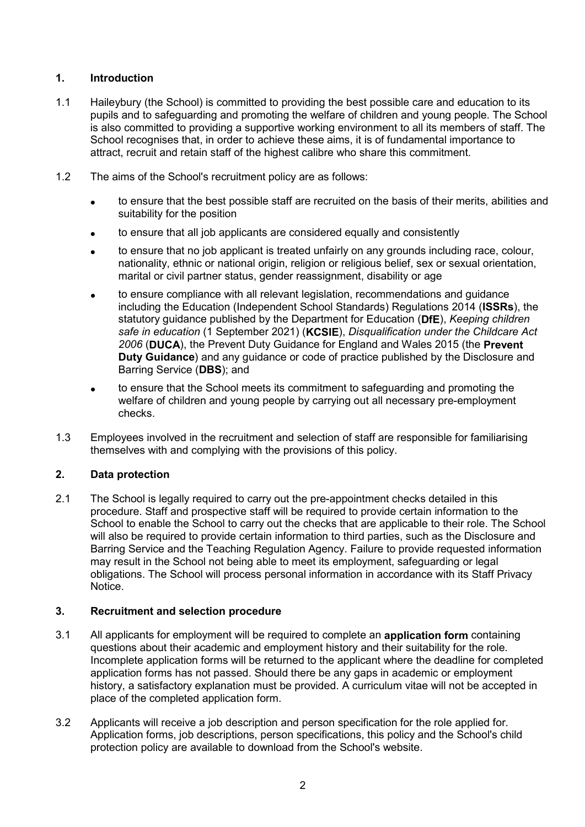# **1. Introduction**

- 1.1 Haileybury (the School) is committed to providing the best possible care and education to its pupils and to safeguarding and promoting the welfare of children and young people. The School is also committed to providing a supportive working environment to all its members of staff. The School recognises that, in order to achieve these aims, it is of fundamental importance to attract, recruit and retain staff of the highest calibre who share this commitment.
- 1.2 The aims of the School's recruitment policy are as follows:
	- to ensure that the best possible staff are recruited on the basis of their merits, abilities and suitability for the position
	- to ensure that all job applicants are considered equally and consistently
	- to ensure that no job applicant is treated unfairly on any grounds including race, colour, nationality, ethnic or national origin, religion or religious belief, sex or sexual orientation, marital or civil partner status, gender reassignment, disability or age
	- to ensure compliance with all relevant legislation, recommendations and guidance including the Education (Independent School Standards) Regulations 2014 (**ISSRs**), the statutory guidance published by the Department for Education (**DfE**), *Keeping children safe in education* (1 September 2021) (**KCSIE**), *Disqualification under the Childcare Act 2006* (**DUCA**), the Prevent Duty Guidance for England and Wales 2015 (the **Prevent Duty Guidance**) and any guidance or code of practice published by the Disclosure and Barring Service (**DBS**); and
	- to ensure that the School meets its commitment to safeguarding and promoting the welfare of children and young people by carrying out all necessary pre-employment checks.
- 1.3 Employees involved in the recruitment and selection of staff are responsible for familiarising themselves with and complying with the provisions of this policy.

## **2. Data protection**

2.1 The School is legally required to carry out the pre-appointment checks detailed in this procedure. Staff and prospective staff will be required to provide certain information to the School to enable the School to carry out the checks that are applicable to their role. The School will also be required to provide certain information to third parties, such as the Disclosure and Barring Service and the Teaching Regulation Agency. Failure to provide requested information may result in the School not being able to meet its employment, safeguarding or legal obligations. The School will process personal information in accordance with its Staff Privacy Notice.

## **3. Recruitment and selection procedure**

- 3.1 All applicants for employment will be required to complete an **application form** containing questions about their academic and employment history and their suitability for the role. Incomplete application forms will be returned to the applicant where the deadline for completed application forms has not passed. Should there be any gaps in academic or employment history, a satisfactory explanation must be provided. A curriculum vitae will not be accepted in place of the completed application form.
- 3.2 Applicants will receive a job description and person specification for the role applied for. Application forms, job descriptions, person specifications, this policy and the School's child protection policy are available to download from the School's website.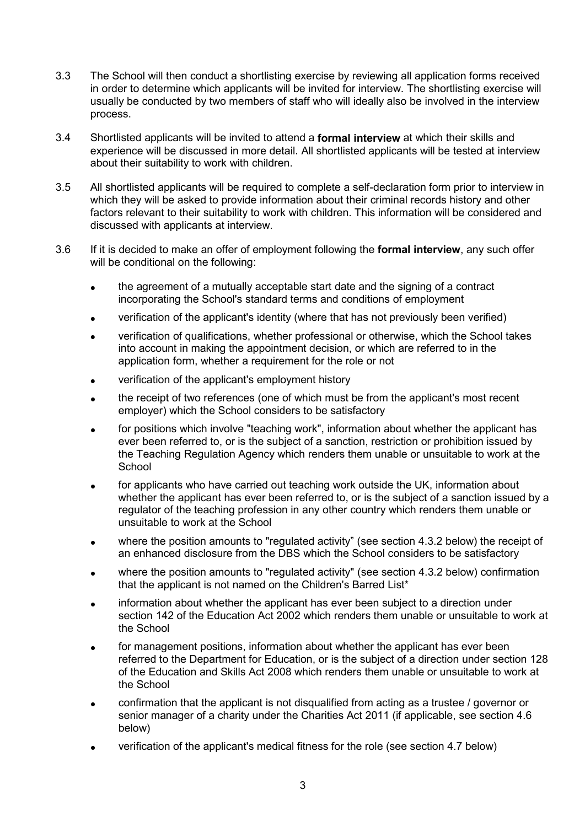- 3.3 The School will then conduct a shortlisting exercise by reviewing all application forms received in order to determine which applicants will be invited for interview. The shortlisting exercise will usually be conducted by two members of staff who will ideally also be involved in the interview process.
- 3.4 Shortlisted applicants will be invited to attend a **formal interview** at which their skills and experience will be discussed in more detail. All shortlisted applicants will be tested at interview about their suitability to work with children.
- 3.5 All shortlisted applicants will be required to complete a self-declaration form prior to interview in which they will be asked to provide information about their criminal records history and other factors relevant to their suitability to work with children. This information will be considered and discussed with applicants at interview.
- 3.6 If it is decided to make an offer of employment following the **formal interview**, any such offer will be conditional on the following:
	- the agreement of a mutually acceptable start date and the signing of a contract incorporating the School's standard terms and conditions of employment
	- verification of the applicant's identity (where that has not previously been verified)
	- verification of qualifications, whether professional or otherwise, which the School takes into account in making the appointment decision, or which are referred to in the application form, whether a requirement for the role or not
	- verification of the applicant's employment history
	- the receipt of two references (one of which must be from the applicant's most recent employer) which the School considers to be satisfactory
	- for positions which involve "teaching work", information about whether the applicant has ever been referred to, or is the subject of a sanction, restriction or prohibition issued by the Teaching Regulation Agency which renders them unable or unsuitable to work at the **School**
	- for applicants who have carried out teaching work outside the UK, information about whether the applicant has ever been referred to, or is the subject of a sanction issued by a regulator of the teaching profession in any other country which renders them unable or unsuitable to work at the School
	- where the position amounts to "regulated activity" (see section 4.3.2 below) the receipt of an enhanced disclosure from the DBS which the School considers to be satisfactory
	- where the position amounts to "regulated activity" (see section 4.3.2 below) confirmation that the applicant is not named on the Children's Barred List\*
	- information about whether the applicant has ever been subject to a direction under section 142 of the Education Act 2002 which renders them unable or unsuitable to work at the School
	- for management positions, information about whether the applicant has ever been referred to the Department for Education, or is the subject of a direction under section 128 of the Education and Skills Act 2008 which renders them unable or unsuitable to work at the School
	- confirmation that the applicant is not disqualified from acting as a trustee / governor or senior manager of a charity under the Charities Act 2011 (if applicable, see section 4.6 below)
	- verification of the applicant's medical fitness for the role (see section 4.7 below)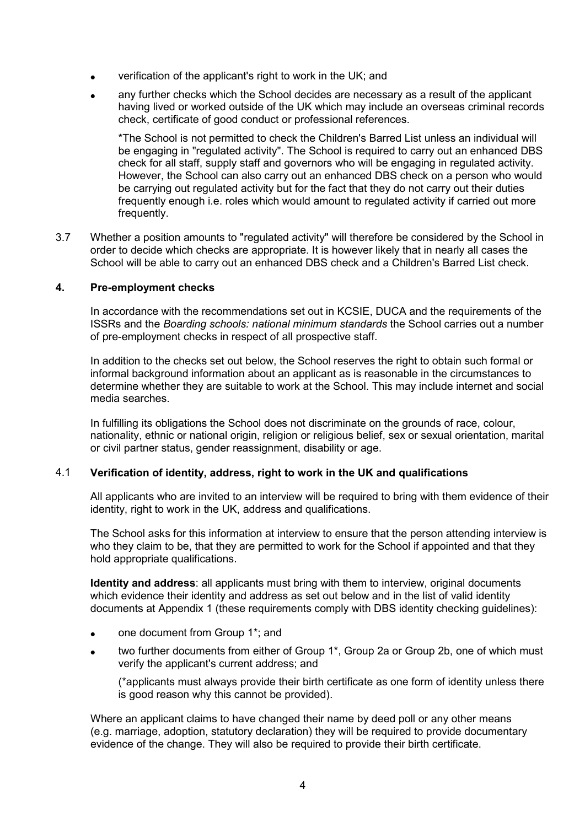- verification of the applicant's right to work in the UK; and
- any further checks which the School decides are necessary as a result of the applicant having lived or worked outside of the UK which may include an overseas criminal records check, certificate of good conduct or professional references.

\*The School is not permitted to check the Children's Barred List unless an individual will be engaging in "regulated activity". The School is required to carry out an enhanced DBS check for all staff, supply staff and governors who will be engaging in regulated activity. However, the School can also carry out an enhanced DBS check on a person who would be carrying out regulated activity but for the fact that they do not carry out their duties frequently enough i.e. roles which would amount to regulated activity if carried out more frequently.

3.7 Whether a position amounts to "regulated activity" will therefore be considered by the School in order to decide which checks are appropriate. It is however likely that in nearly all cases the School will be able to carry out an enhanced DBS check and a Children's Barred List check.

## **4. Pre-employment checks**

In accordance with the recommendations set out in KCSIE, DUCA and the requirements of the ISSRs and the *Boarding schools: national minimum standards* the School carries out a number of pre-employment checks in respect of all prospective staff.

In addition to the checks set out below, the School reserves the right to obtain such formal or informal background information about an applicant as is reasonable in the circumstances to determine whether they are suitable to work at the School. This may include internet and social media searches.

In fulfilling its obligations the School does not discriminate on the grounds of race, colour, nationality, ethnic or national origin, religion or religious belief, sex or sexual orientation, marital or civil partner status, gender reassignment, disability or age.

#### 4.1 **Verification of identity, address, right to work in the UK and qualifications**

All applicants who are invited to an interview will be required to bring with them evidence of their identity, right to work in the UK, address and qualifications.

The School asks for this information at interview to ensure that the person attending interview is who they claim to be, that they are permitted to work for the School if appointed and that they hold appropriate qualifications.

**Identity and address**: all applicants must bring with them to interview, original documents which evidence their identity and address as set out below and in the list of valid identity documents at Appendix 1 (these requirements comply with DBS identity checking guidelines):

- one document from Group 1\*; and
- two further documents from either of Group 1\*, Group 2a or Group 2b, one of which must verify the applicant's current address; and

(\*applicants must always provide their birth certificate as one form of identity unless there is good reason why this cannot be provided).

Where an applicant claims to have changed their name by deed poll or any other means (e.g. marriage, adoption, statutory declaration) they will be required to provide documentary evidence of the change. They will also be required to provide their birth certificate.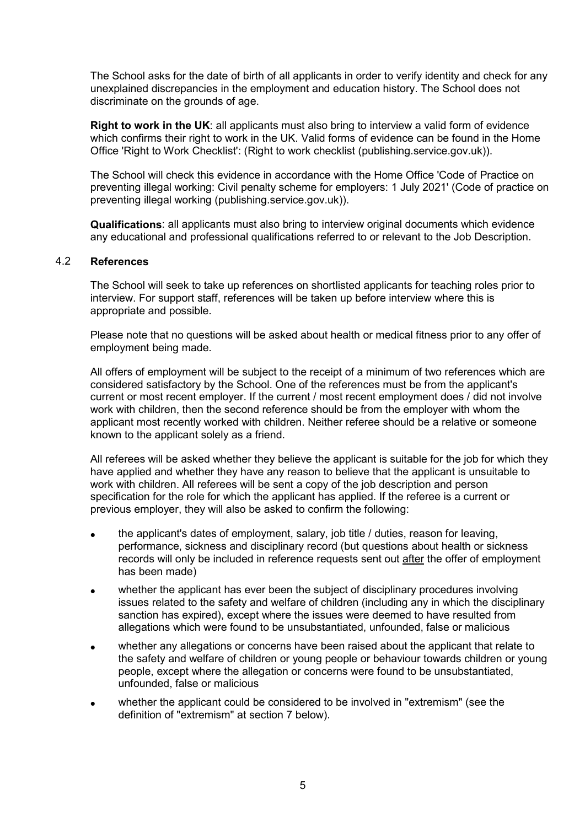The School asks for the date of birth of all applicants in order to verify identity and check for any unexplained discrepancies in the employment and education history. The School does not discriminate on the grounds of age.

**Right to work in the UK**: all applicants must also bring to interview a valid form of evidence which confirms their right to work in the UK. Valid forms of evidence can be found in the Home Office 'Right to Work Checklist': (Right to work checklist (publishing.service.gov.uk)).

The School will check this evidence in accordance with the Home Office 'Code of Practice on preventing illegal working: Civil penalty scheme for employers: 1 July 2021' (Code of practice on preventing illegal working (publishing.service.gov.uk)).

**Qualifications**: all applicants must also bring to interview original documents which evidence any educational and professional qualifications referred to or relevant to the Job Description.

## 4.2 **References**

The School will seek to take up references on shortlisted applicants for teaching roles prior to interview. For support staff, references will be taken up before interview where this is appropriate and possible.

Please note that no questions will be asked about health or medical fitness prior to any offer of employment being made.

All offers of employment will be subject to the receipt of a minimum of two references which are considered satisfactory by the School. One of the references must be from the applicant's current or most recent employer. If the current / most recent employment does / did not involve work with children, then the second reference should be from the employer with whom the applicant most recently worked with children. Neither referee should be a relative or someone known to the applicant solely as a friend.

All referees will be asked whether they believe the applicant is suitable for the job for which they have applied and whether they have any reason to believe that the applicant is unsuitable to work with children. All referees will be sent a copy of the job description and person specification for the role for which the applicant has applied. If the referee is a current or previous employer, they will also be asked to confirm the following:

- the applicant's dates of employment, salary, job title / duties, reason for leaving, performance, sickness and disciplinary record (but questions about health or sickness records will only be included in reference requests sent out after the offer of employment has been made)
- whether the applicant has ever been the subject of disciplinary procedures involving issues related to the safety and welfare of children (including any in which the disciplinary sanction has expired), except where the issues were deemed to have resulted from allegations which were found to be unsubstantiated, unfounded, false or malicious
- whether any allegations or concerns have been raised about the applicant that relate to the safety and welfare of children or young people or behaviour towards children or young people, except where the allegation or concerns were found to be unsubstantiated, unfounded, false or malicious
- whether the applicant could be considered to be involved in "extremism" (see the definition of "extremism" at section 7 below).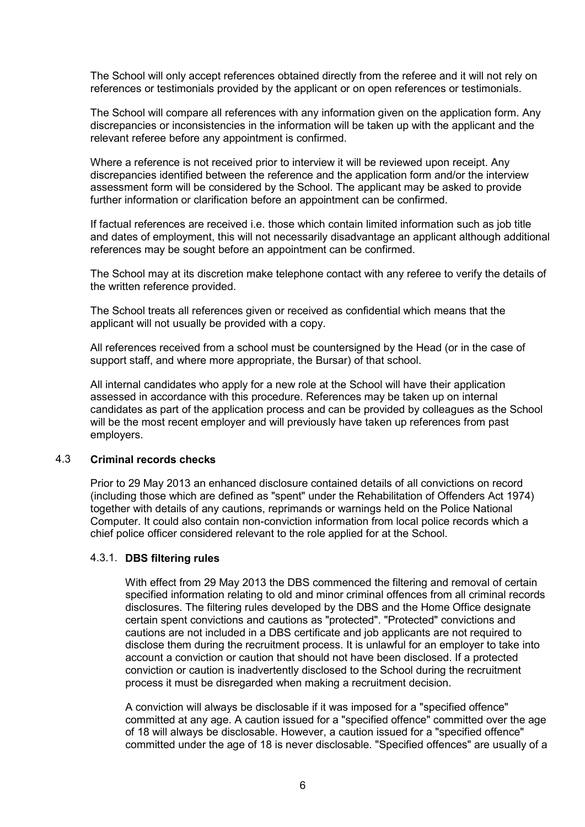The School will only accept references obtained directly from the referee and it will not rely on references or testimonials provided by the applicant or on open references or testimonials.

The School will compare all references with any information given on the application form. Any discrepancies or inconsistencies in the information will be taken up with the applicant and the relevant referee before any appointment is confirmed.

Where a reference is not received prior to interview it will be reviewed upon receipt. Any discrepancies identified between the reference and the application form and/or the interview assessment form will be considered by the School. The applicant may be asked to provide further information or clarification before an appointment can be confirmed.

If factual references are received i.e. those which contain limited information such as job title and dates of employment, this will not necessarily disadvantage an applicant although additional references may be sought before an appointment can be confirmed.

The School may at its discretion make telephone contact with any referee to verify the details of the written reference provided.

The School treats all references given or received as confidential which means that the applicant will not usually be provided with a copy.

All references received from a school must be countersigned by the Head (or in the case of support staff, and where more appropriate, the Bursar) of that school.

All internal candidates who apply for a new role at the School will have their application assessed in accordance with this procedure. References may be taken up on internal candidates as part of the application process and can be provided by colleagues as the School will be the most recent employer and will previously have taken up references from past employers.

# 4.3 **Criminal records checks**

Prior to 29 May 2013 an enhanced disclosure contained details of all convictions on record (including those which are defined as "spent" under the Rehabilitation of Offenders Act 1974) together with details of any cautions, reprimands or warnings held on the Police National Computer. It could also contain non-conviction information from local police records which a chief police officer considered relevant to the role applied for at the School.

#### 4.3.1. **DBS filtering rules**

With effect from 29 May 2013 the DBS commenced the filtering and removal of certain specified information relating to old and minor criminal offences from all criminal records disclosures. The filtering rules developed by the DBS and the Home Office designate certain spent convictions and cautions as "protected". "Protected" convictions and cautions are not included in a DBS certificate and job applicants are not required to disclose them during the recruitment process. It is unlawful for an employer to take into account a conviction or caution that should not have been disclosed. If a protected conviction or caution is inadvertently disclosed to the School during the recruitment process it must be disregarded when making a recruitment decision.

A conviction will always be disclosable if it was imposed for a "specified offence" committed at any age. A caution issued for a "specified offence" committed over the age of 18 will always be disclosable. However, a caution issued for a "specified offence" committed under the age of 18 is never disclosable. "Specified offences" are usually of a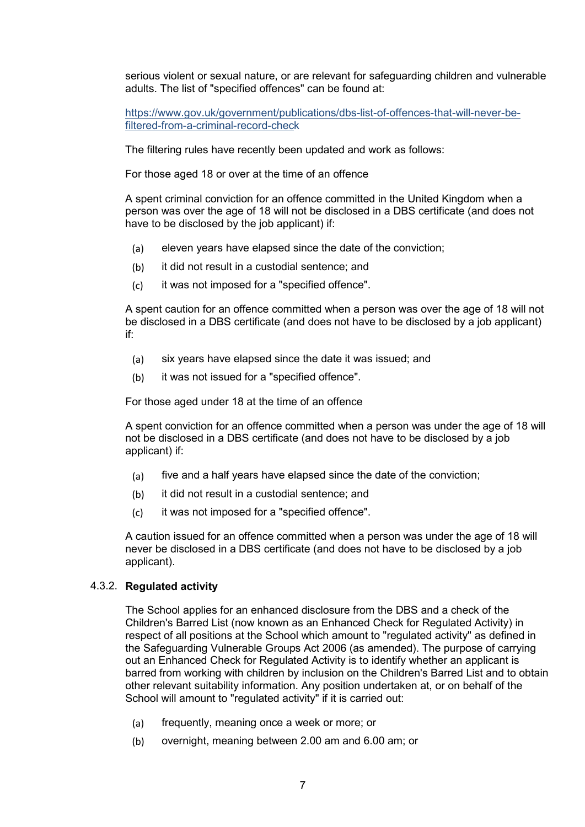serious violent or sexual nature, or are relevant for safeguarding children and vulnerable adults. The list of "specified offences" can be found at:

[https://www.gov.uk/government/publications/dbs-list-of-offences-that-will-never-be](https://www.gov.uk/government/publications/dbs-list-of-offences-that-will-never-be-filtered-from-a-criminal-record-check)[filtered-from-a-criminal-record-check](https://www.gov.uk/government/publications/dbs-list-of-offences-that-will-never-be-filtered-from-a-criminal-record-check)

The filtering rules have recently been updated and work as follows:

For those aged 18 or over at the time of an offence

A spent criminal conviction for an offence committed in the United Kingdom when a person was over the age of 18 will not be disclosed in a DBS certificate (and does not have to be disclosed by the job applicant) if:

- (a) eleven years have elapsed since the date of the conviction;
- (b) it did not result in a custodial sentence; and
- (c) it was not imposed for a "specified offence".

A spent caution for an offence committed when a person was over the age of 18 will not be disclosed in a DBS certificate (and does not have to be disclosed by a job applicant) if:

- (a) six years have elapsed since the date it was issued; and
- (b) it was not issued for a "specified offence".

For those aged under 18 at the time of an offence

A spent conviction for an offence committed when a person was under the age of 18 will not be disclosed in a DBS certificate (and does not have to be disclosed by a job applicant) if:

- (a) five and a half years have elapsed since the date of the conviction;
- (b) it did not result in a custodial sentence; and
- (c) it was not imposed for a "specified offence".

A caution issued for an offence committed when a person was under the age of 18 will never be disclosed in a DBS certificate (and does not have to be disclosed by a job applicant).

## 4.3.2. **Regulated activity**

The School applies for an enhanced disclosure from the DBS and a check of the Children's Barred List (now known as an Enhanced Check for Regulated Activity) in respect of all positions at the School which amount to "regulated activity" as defined in the Safeguarding Vulnerable Groups Act 2006 (as amended). The purpose of carrying out an Enhanced Check for Regulated Activity is to identify whether an applicant is barred from working with children by inclusion on the Children's Barred List and to obtain other relevant suitability information. Any position undertaken at, or on behalf of the School will amount to "regulated activity" if it is carried out:

- (a) frequently, meaning once a week or more; or
- (b) overnight, meaning between 2.00 am and 6.00 am; or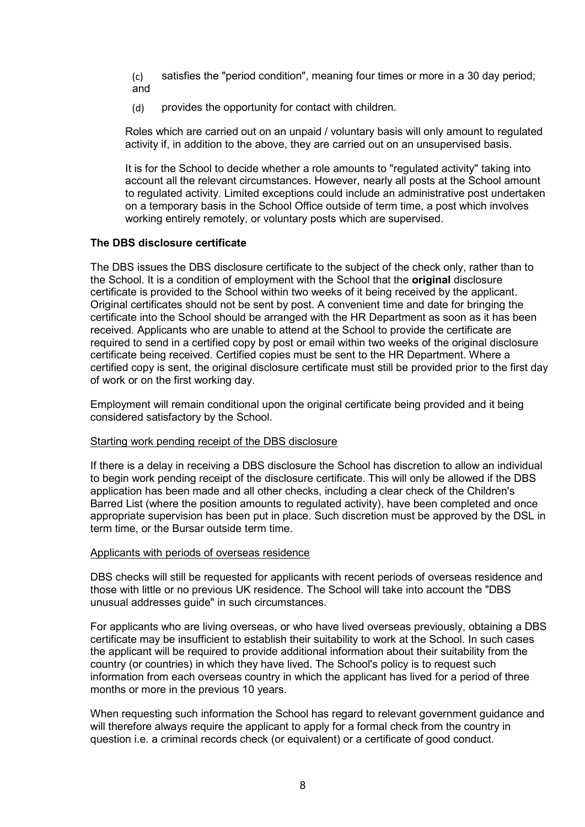(c) satisfies the "period condition", meaning four times or more in a 30 day period; and

(d) provides the opportunity for contact with children.

Roles which are carried out on an unpaid / voluntary basis will only amount to regulated activity if, in addition to the above, they are carried out on an unsupervised basis.

It is for the School to decide whether a role amounts to "regulated activity" taking into account all the relevant circumstances. However, nearly all posts at the School amount to regulated activity. Limited exceptions could include an administrative post undertaken on a temporary basis in the School Office outside of term time, a post which involves working entirely remotely, or voluntary posts which are supervised.

## **The DBS disclosure certificate**

The DBS issues the DBS disclosure certificate to the subject of the check only, rather than to the School. It is a condition of employment with the School that the **original** disclosure certificate is provided to the School within two weeks of it being received by the applicant. Original certificates should not be sent by post. A convenient time and date for bringing the certificate into the School should be arranged with the HR Department as soon as it has been received. Applicants who are unable to attend at the School to provide the certificate are required to send in a certified copy by post or email within two weeks of the original disclosure certificate being received. Certified copies must be sent to the HR Department. Where a certified copy is sent, the original disclosure certificate must still be provided prior to the first day of work or on the first working day.

Employment will remain conditional upon the original certificate being provided and it being considered satisfactory by the School.

## Starting work pending receipt of the DBS disclosure

If there is a delay in receiving a DBS disclosure the School has discretion to allow an individual to begin work pending receipt of the disclosure certificate. This will only be allowed if the DBS application has been made and all other checks, including a clear check of the Children's Barred List (where the position amounts to regulated activity), have been completed and once appropriate supervision has been put in place. Such discretion must be approved by the DSL in term time, or the Bursar outside term time.

#### Applicants with periods of overseas residence

DBS checks will still be requested for applicants with recent periods of overseas residence and those with little or no previous UK residence. The School will take into account the "DBS unusual addresses guide" in such circumstances.

For applicants who are living overseas, or who have lived overseas previously, obtaining a DBS certificate may be insufficient to establish their suitability to work at the School. In such cases the applicant will be required to provide additional information about their suitability from the country (or countries) in which they have lived. The School's policy is to request such information from each overseas country in which the applicant has lived for a period of three months or more in the previous 10 years.

When requesting such information the School has regard to relevant government guidance and will therefore always require the applicant to apply for a formal check from the country in question i.e. a criminal records check (or equivalent) or a certificate of good conduct.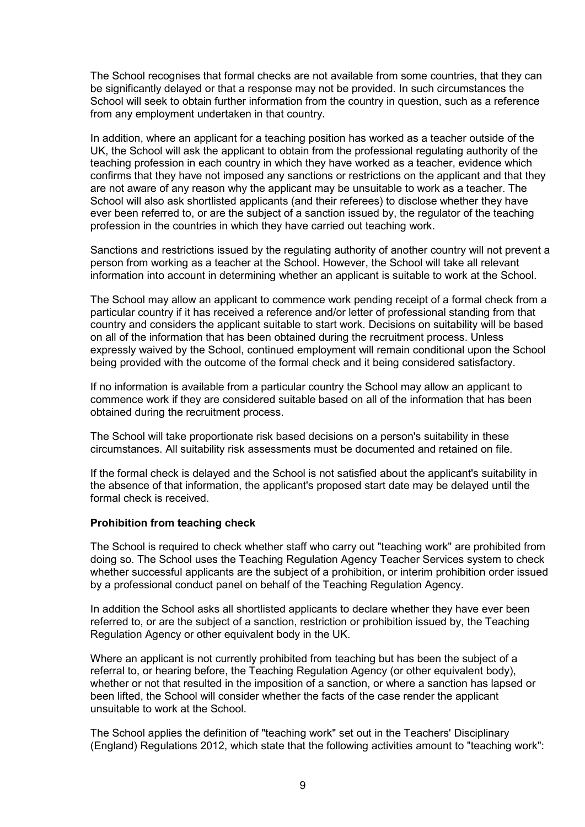The School recognises that formal checks are not available from some countries, that they can be significantly delayed or that a response may not be provided. In such circumstances the School will seek to obtain further information from the country in question, such as a reference from any employment undertaken in that country.

In addition, where an applicant for a teaching position has worked as a teacher outside of the UK, the School will ask the applicant to obtain from the professional regulating authority of the teaching profession in each country in which they have worked as a teacher, evidence which confirms that they have not imposed any sanctions or restrictions on the applicant and that they are not aware of any reason why the applicant may be unsuitable to work as a teacher. The School will also ask shortlisted applicants (and their referees) to disclose whether they have ever been referred to, or are the subject of a sanction issued by, the regulator of the teaching profession in the countries in which they have carried out teaching work.

Sanctions and restrictions issued by the regulating authority of another country will not prevent a person from working as a teacher at the School. However, the School will take all relevant information into account in determining whether an applicant is suitable to work at the School.

The School may allow an applicant to commence work pending receipt of a formal check from a particular country if it has received a reference and/or letter of professional standing from that country and considers the applicant suitable to start work. Decisions on suitability will be based on all of the information that has been obtained during the recruitment process. Unless expressly waived by the School, continued employment will remain conditional upon the School being provided with the outcome of the formal check and it being considered satisfactory.

If no information is available from a particular country the School may allow an applicant to commence work if they are considered suitable based on all of the information that has been obtained during the recruitment process.

The School will take proportionate risk based decisions on a person's suitability in these circumstances. All suitability risk assessments must be documented and retained on file.

If the formal check is delayed and the School is not satisfied about the applicant's suitability in the absence of that information, the applicant's proposed start date may be delayed until the formal check is received.

## **Prohibition from teaching check**

The School is required to check whether staff who carry out "teaching work" are prohibited from doing so. The School uses the Teaching Regulation Agency Teacher Services system to check whether successful applicants are the subject of a prohibition, or interim prohibition order issued by a professional conduct panel on behalf of the Teaching Regulation Agency.

In addition the School asks all shortlisted applicants to declare whether they have ever been referred to, or are the subject of a sanction, restriction or prohibition issued by, the Teaching Regulation Agency or other equivalent body in the UK.

Where an applicant is not currently prohibited from teaching but has been the subject of a referral to, or hearing before, the Teaching Regulation Agency (or other equivalent body), whether or not that resulted in the imposition of a sanction, or where a sanction has lapsed or been lifted, the School will consider whether the facts of the case render the applicant unsuitable to work at the School.

The School applies the definition of "teaching work" set out in the Teachers' Disciplinary (England) Regulations 2012, which state that the following activities amount to "teaching work":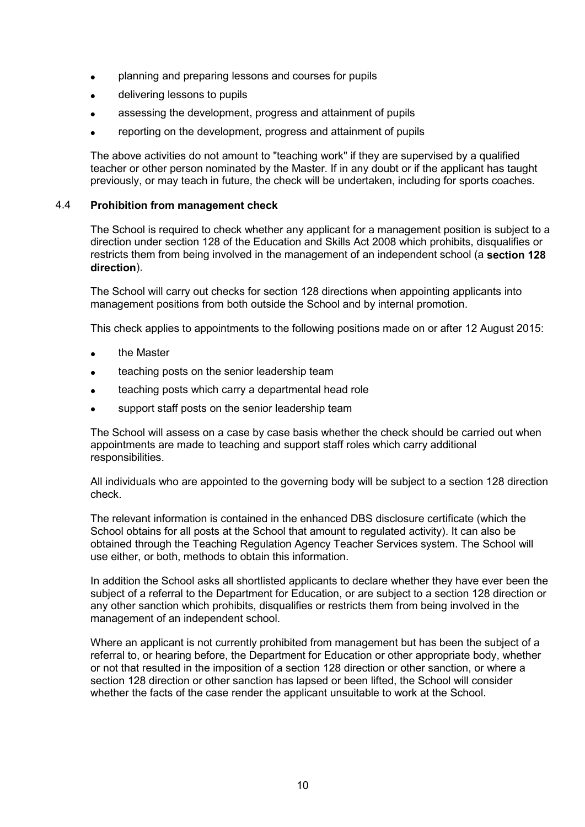- planning and preparing lessons and courses for pupils
- delivering lessons to pupils
- assessing the development, progress and attainment of pupils
- reporting on the development, progress and attainment of pupils

The above activities do not amount to "teaching work" if they are supervised by a qualified teacher or other person nominated by the Master. If in any doubt or if the applicant has taught previously, or may teach in future, the check will be undertaken, including for sports coaches.

## 4.4 **Prohibition from management check**

The School is required to check whether any applicant for a management position is subject to a direction under section 128 of the Education and Skills Act 2008 which prohibits, disqualifies or restricts them from being involved in the management of an independent school (a **section 128 direction**).

The School will carry out checks for section 128 directions when appointing applicants into management positions from both outside the School and by internal promotion.

This check applies to appointments to the following positions made on or after 12 August 2015:

- the Master
- teaching posts on the senior leadership team
- teaching posts which carry a departmental head role
- support staff posts on the senior leadership team

The School will assess on a case by case basis whether the check should be carried out when appointments are made to teaching and support staff roles which carry additional responsibilities.

All individuals who are appointed to the governing body will be subject to a section 128 direction check.

The relevant information is contained in the enhanced DBS disclosure certificate (which the School obtains for all posts at the School that amount to regulated activity). It can also be obtained through the Teaching Regulation Agency Teacher Services system. The School will use either, or both, methods to obtain this information.

In addition the School asks all shortlisted applicants to declare whether they have ever been the subject of a referral to the Department for Education, or are subject to a section 128 direction or any other sanction which prohibits, disqualifies or restricts them from being involved in the management of an independent school.

Where an applicant is not currently prohibited from management but has been the subject of a referral to, or hearing before, the Department for Education or other appropriate body, whether or not that resulted in the imposition of a section 128 direction or other sanction, or where a section 128 direction or other sanction has lapsed or been lifted, the School will consider whether the facts of the case render the applicant unsuitable to work at the School.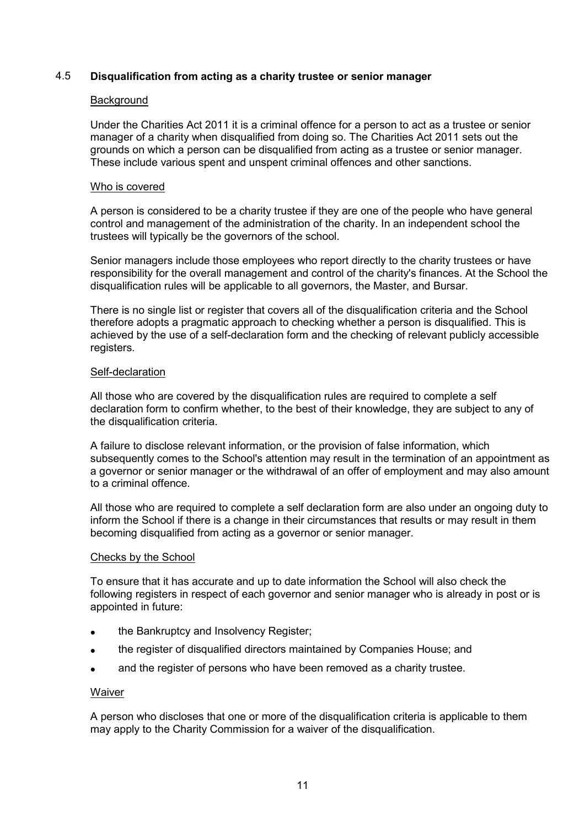# 4.5 **Disqualification from acting as a charity trustee or senior manager**

## **Background**

Under the Charities Act 2011 it is a criminal offence for a person to act as a trustee or senior manager of a charity when disqualified from doing so. The Charities Act 2011 sets out the grounds on which a person can be disqualified from acting as a trustee or senior manager. These include various spent and unspent criminal offences and other sanctions.

#### Who is covered

A person is considered to be a charity trustee if they are one of the people who have general control and management of the administration of the charity. In an independent school the trustees will typically be the governors of the school.

Senior managers include those employees who report directly to the charity trustees or have responsibility for the overall management and control of the charity's finances. At the School the disqualification rules will be applicable to all governors, the Master, and Bursar.

There is no single list or register that covers all of the disqualification criteria and the School therefore adopts a pragmatic approach to checking whether a person is disqualified. This is achieved by the use of a self-declaration form and the checking of relevant publicly accessible registers.

## Self-declaration

All those who are covered by the disqualification rules are required to complete a self declaration form to confirm whether, to the best of their knowledge, they are subject to any of the disqualification criteria.

A failure to disclose relevant information, or the provision of false information, which subsequently comes to the School's attention may result in the termination of an appointment as a governor or senior manager or the withdrawal of an offer of employment and may also amount to a criminal offence.

All those who are required to complete a self declaration form are also under an ongoing duty to inform the School if there is a change in their circumstances that results or may result in them becoming disqualified from acting as a governor or senior manager.

#### Checks by the School

To ensure that it has accurate and up to date information the School will also check the following registers in respect of each governor and senior manager who is already in post or is appointed in future:

- the Bankruptcy and Insolvency Register;
- the register of disqualified directors maintained by Companies House; and
- and the register of persons who have been removed as a charity trustee.

#### Waiver

A person who discloses that one or more of the disqualification criteria is applicable to them may apply to the Charity Commission for a waiver of the disqualification.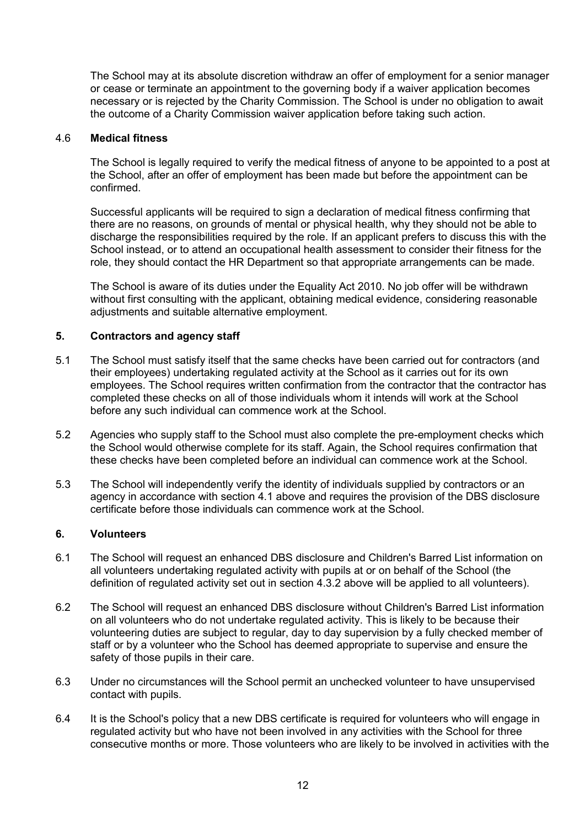The School may at its absolute discretion withdraw an offer of employment for a senior manager or cease or terminate an appointment to the governing body if a waiver application becomes necessary or is rejected by the Charity Commission. The School is under no obligation to await the outcome of a Charity Commission waiver application before taking such action.

## 4.6 **Medical fitness**

The School is legally required to verify the medical fitness of anyone to be appointed to a post at the School, after an offer of employment has been made but before the appointment can be confirmed.

Successful applicants will be required to sign a declaration of medical fitness confirming that there are no reasons, on grounds of mental or physical health, why they should not be able to discharge the responsibilities required by the role. If an applicant prefers to discuss this with the School instead, or to attend an occupational health assessment to consider their fitness for the role, they should contact the HR Department so that appropriate arrangements can be made.

The School is aware of its duties under the Equality Act 2010. No job offer will be withdrawn without first consulting with the applicant, obtaining medical evidence, considering reasonable adjustments and suitable alternative employment.

## **5. Contractors and agency staff**

- 5.1 The School must satisfy itself that the same checks have been carried out for contractors (and their employees) undertaking regulated activity at the School as it carries out for its own employees. The School requires written confirmation from the contractor that the contractor has completed these checks on all of those individuals whom it intends will work at the School before any such individual can commence work at the School.
- 5.2 Agencies who supply staff to the School must also complete the pre-employment checks which the School would otherwise complete for its staff. Again, the School requires confirmation that these checks have been completed before an individual can commence work at the School.
- 5.3 The School will independently verify the identity of individuals supplied by contractors or an agency in accordance with section 4.1 above and requires the provision of the DBS disclosure certificate before those individuals can commence work at the School.

## **6. Volunteers**

- 6.1 The School will request an enhanced DBS disclosure and Children's Barred List information on all volunteers undertaking regulated activity with pupils at or on behalf of the School (the definition of regulated activity set out in section 4.3.2 above will be applied to all volunteers).
- 6.2 The School will request an enhanced DBS disclosure without Children's Barred List information on all volunteers who do not undertake regulated activity. This is likely to be because their volunteering duties are subject to regular, day to day supervision by a fully checked member of staff or by a volunteer who the School has deemed appropriate to supervise and ensure the safety of those pupils in their care.
- 6.3 Under no circumstances will the School permit an unchecked volunteer to have unsupervised contact with pupils.
- 6.4 It is the School's policy that a new DBS certificate is required for volunteers who will engage in regulated activity but who have not been involved in any activities with the School for three consecutive months or more. Those volunteers who are likely to be involved in activities with the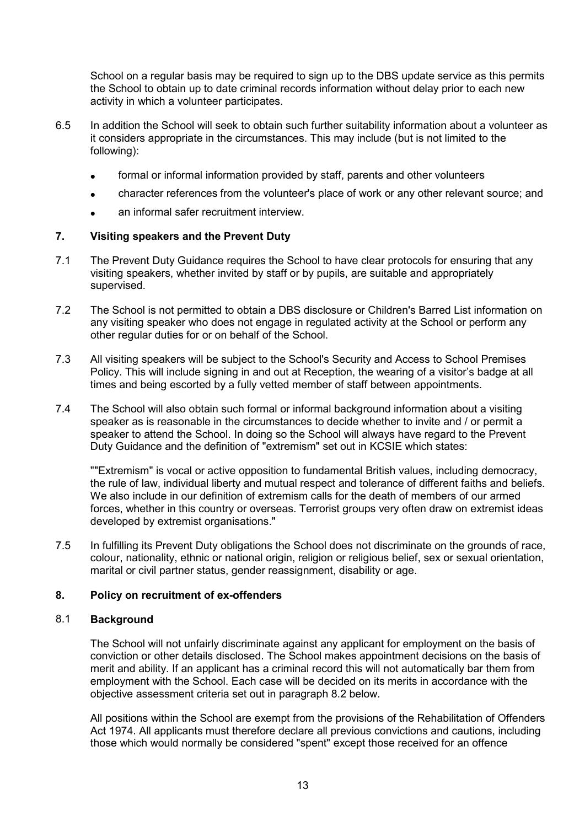School on a regular basis may be required to sign up to the DBS update service as this permits the School to obtain up to date criminal records information without delay prior to each new activity in which a volunteer participates.

- 6.5 In addition the School will seek to obtain such further suitability information about a volunteer as it considers appropriate in the circumstances. This may include (but is not limited to the following):
	- formal or informal information provided by staff, parents and other volunteers
	- character references from the volunteer's place of work or any other relevant source; and
	- an informal safer recruitment interview.

# **7. Visiting speakers and the Prevent Duty**

- 7.1 The Prevent Duty Guidance requires the School to have clear protocols for ensuring that any visiting speakers, whether invited by staff or by pupils, are suitable and appropriately supervised.
- 7.2 The School is not permitted to obtain a DBS disclosure or Children's Barred List information on any visiting speaker who does not engage in regulated activity at the School or perform any other regular duties for or on behalf of the School.
- 7.3 All visiting speakers will be subject to the School's Security and Access to School Premises Policy. This will include signing in and out at Reception, the wearing of a visitor's badge at all times and being escorted by a fully vetted member of staff between appointments.
- 7.4 The School will also obtain such formal or informal background information about a visiting speaker as is reasonable in the circumstances to decide whether to invite and / or permit a speaker to attend the School. In doing so the School will always have regard to the Prevent Duty Guidance and the definition of "extremism" set out in KCSIE which states:

""Extremism" is vocal or active opposition to fundamental British values, including democracy, the rule of law, individual liberty and mutual respect and tolerance of different faiths and beliefs. We also include in our definition of extremism calls for the death of members of our armed forces, whether in this country or overseas. Terrorist groups very often draw on extremist ideas developed by extremist organisations."

7.5 In fulfilling its Prevent Duty obligations the School does not discriminate on the grounds of race, colour, nationality, ethnic or national origin, religion or religious belief, sex or sexual orientation, marital or civil partner status, gender reassignment, disability or age.

## **8. Policy on recruitment of ex-offenders**

# 8.1 **Background**

The School will not unfairly discriminate against any applicant for employment on the basis of conviction or other details disclosed. The School makes appointment decisions on the basis of merit and ability. If an applicant has a criminal record this will not automatically bar them from employment with the School. Each case will be decided on its merits in accordance with the objective assessment criteria set out in paragraph 8.2 below.

All positions within the School are exempt from the provisions of the Rehabilitation of Offenders Act 1974. All applicants must therefore declare all previous convictions and cautions, including those which would normally be considered "spent" except those received for an offence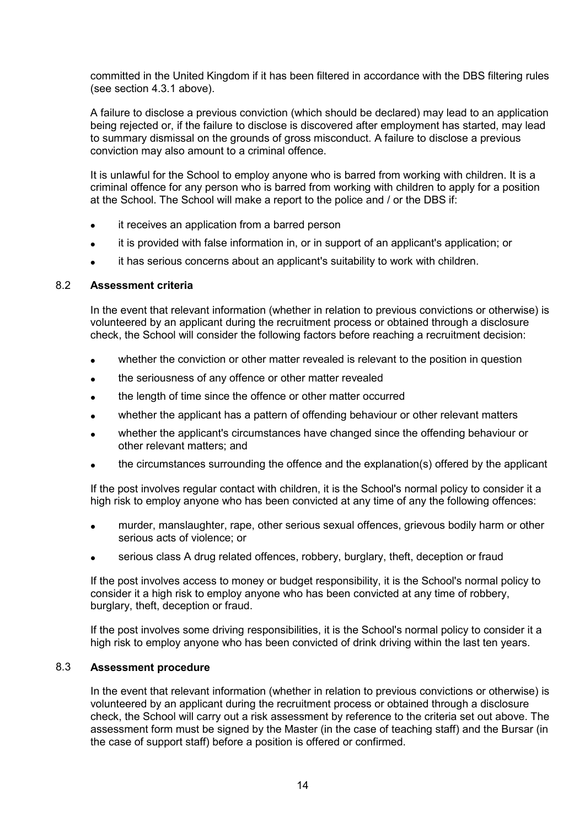committed in the United Kingdom if it has been filtered in accordance with the DBS filtering rules (see section 4.3.1 above).

A failure to disclose a previous conviction (which should be declared) may lead to an application being rejected or, if the failure to disclose is discovered after employment has started, may lead to summary dismissal on the grounds of gross misconduct. A failure to disclose a previous conviction may also amount to a criminal offence.

It is unlawful for the School to employ anyone who is barred from working with children. It is a criminal offence for any person who is barred from working with children to apply for a position at the School. The School will make a report to the police and / or the DBS if:

- it receives an application from a barred person
- it is provided with false information in, or in support of an applicant's application; or
- it has serious concerns about an applicant's suitability to work with children.

# 8.2 **Assessment criteria**

In the event that relevant information (whether in relation to previous convictions or otherwise) is volunteered by an applicant during the recruitment process or obtained through a disclosure check, the School will consider the following factors before reaching a recruitment decision:

- whether the conviction or other matter revealed is relevant to the position in question
- the seriousness of any offence or other matter revealed
- the length of time since the offence or other matter occurred
- whether the applicant has a pattern of offending behaviour or other relevant matters
- whether the applicant's circumstances have changed since the offending behaviour or other relevant matters; and
- the circumstances surrounding the offence and the explanation(s) offered by the applicant

If the post involves regular contact with children, it is the School's normal policy to consider it a high risk to employ anyone who has been convicted at any time of any the following offences:

- murder, manslaughter, rape, other serious sexual offences, grievous bodily harm or other serious acts of violence; or
- serious class A drug related offences, robbery, burglary, theft, deception or fraud

If the post involves access to money or budget responsibility, it is the School's normal policy to consider it a high risk to employ anyone who has been convicted at any time of robbery, burglary, theft, deception or fraud.

If the post involves some driving responsibilities, it is the School's normal policy to consider it a high risk to employ anyone who has been convicted of drink driving within the last ten years.

#### 8.3 **Assessment procedure**

In the event that relevant information (whether in relation to previous convictions or otherwise) is volunteered by an applicant during the recruitment process or obtained through a disclosure check, the School will carry out a risk assessment by reference to the criteria set out above. The assessment form must be signed by the Master (in the case of teaching staff) and the Bursar (in the case of support staff) before a position is offered or confirmed.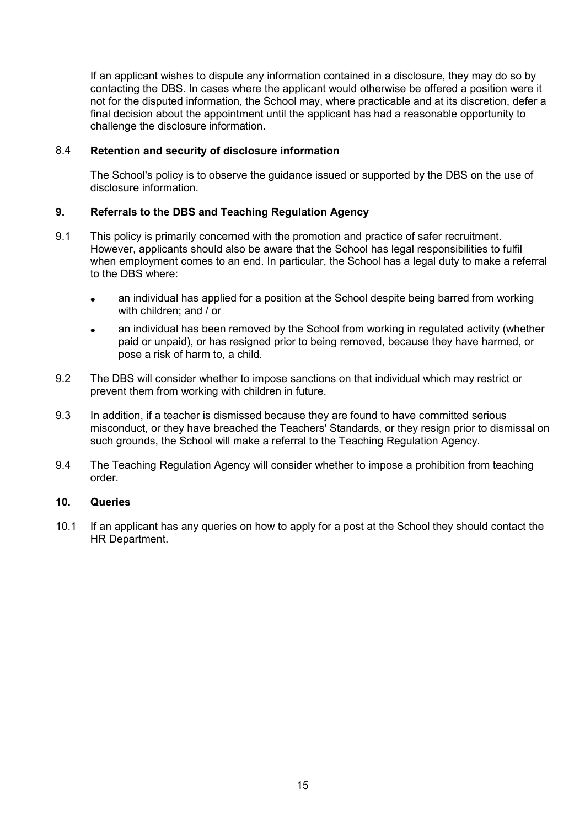If an applicant wishes to dispute any information contained in a disclosure, they may do so by contacting the DBS. In cases where the applicant would otherwise be offered a position were it not for the disputed information, the School may, where practicable and at its discretion, defer a final decision about the appointment until the applicant has had a reasonable opportunity to challenge the disclosure information.

# 8.4 **Retention and security of disclosure information**

The School's policy is to observe the guidance issued or supported by the DBS on the use of disclosure information.

## **9. Referrals to the DBS and Teaching Regulation Agency**

- 9.1 This policy is primarily concerned with the promotion and practice of safer recruitment. However, applicants should also be aware that the School has legal responsibilities to fulfil when employment comes to an end. In particular, the School has a legal duty to make a referral to the DBS where:
	- an individual has applied for a position at the School despite being barred from working with children; and / or
	- an individual has been removed by the School from working in regulated activity (whether paid or unpaid), or has resigned prior to being removed, because they have harmed, or pose a risk of harm to, a child.
- 9.2 The DBS will consider whether to impose sanctions on that individual which may restrict or prevent them from working with children in future.
- 9.3 In addition, if a teacher is dismissed because they are found to have committed serious misconduct, or they have breached the Teachers' Standards, or they resign prior to dismissal on such grounds, the School will make a referral to the Teaching Regulation Agency.
- 9.4 The Teaching Regulation Agency will consider whether to impose a prohibition from teaching order.

#### **10. Queries**

10.1 If an applicant has any queries on how to apply for a post at the School they should contact the HR Department.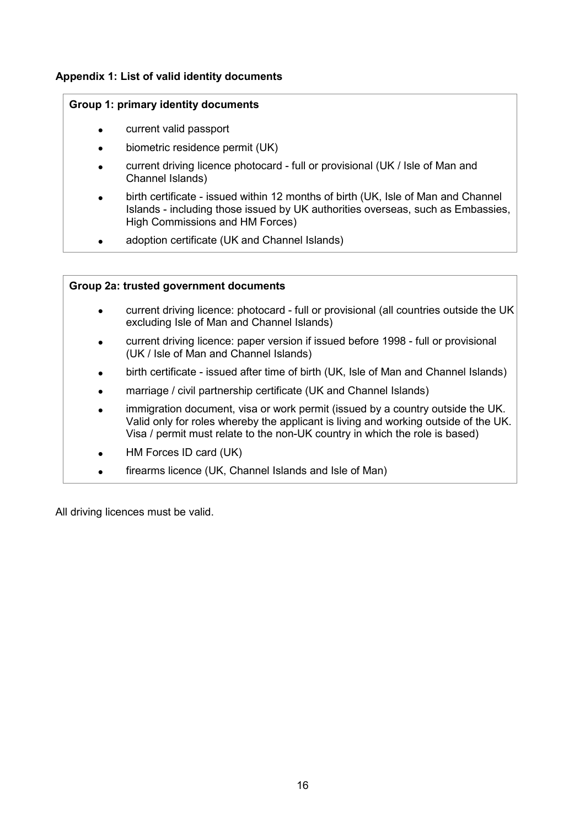# **Appendix 1: List of valid identity documents**

# **Group 1: primary identity documents**

- current valid passport
- biometric residence permit (UK)
- current driving licence photocard full or provisional (UK / Isle of Man and Channel Islands)
- birth certificate issued within 12 months of birth (UK, Isle of Man and Channel Islands - including those issued by UK authorities overseas, such as Embassies, High Commissions and HM Forces)
- adoption certificate (UK and Channel Islands)

# **Group 2a: trusted government documents**

- current driving licence: photocard full or provisional (all countries outside the UK excluding Isle of Man and Channel Islands)
- current driving licence: paper version if issued before 1998 full or provisional (UK / Isle of Man and Channel Islands)
- birth certificate issued after time of birth (UK, Isle of Man and Channel Islands)
- marriage / civil partnership certificate (UK and Channel Islands)
- immigration document, visa or work permit (issued by a country outside the UK. Valid only for roles whereby the applicant is living and working outside of the UK. Visa / permit must relate to the non-UK country in which the role is based)
- HM Forces ID card (UK)
- firearms licence (UK, Channel Islands and Isle of Man)

All driving licences must be valid.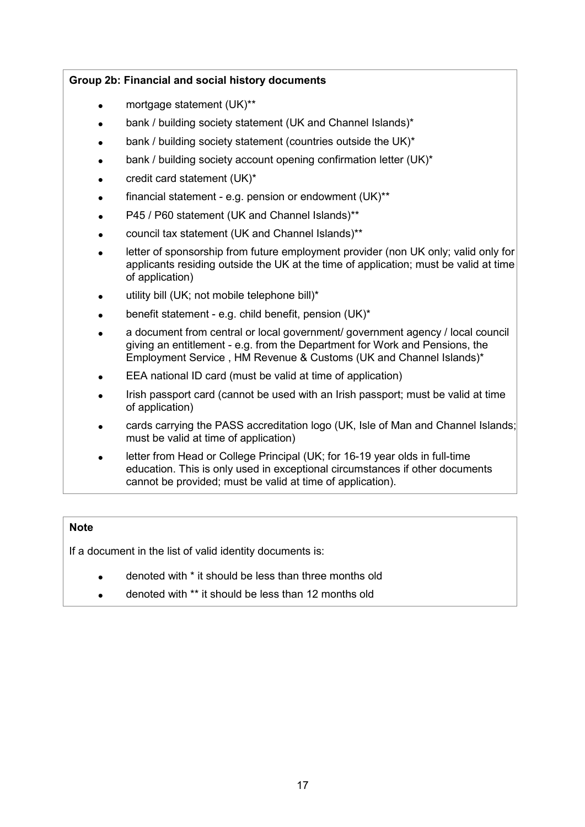# **Group 2b: Financial and social history documents**

- mortgage statement (UK)\*\*
- bank / building society statement (UK and Channel Islands)\*
- bank / building society statement (countries outside the UK)\*
- bank / building society account opening confirmation letter (UK)\*
- credit card statement (UK)\*
- financial statement e.g. pension or endowment (UK)\*\*
- P45 / P60 statement (UK and Channel Islands)\*\*
- council tax statement (UK and Channel Islands)\*\*
- letter of sponsorship from future employment provider (non UK only; valid only for applicants residing outside the UK at the time of application; must be valid at time of application)
- utility bill (UK; not mobile telephone bill)\*
- benefit statement e.g. child benefit, pension (UK)\*
- a document from central or local government/ government agency / local council giving an entitlement - e.g. from the Department for Work and Pensions, the Employment Service , HM Revenue & Customs (UK and Channel Islands)\*
- EEA national ID card (must be valid at time of application)
- Irish passport card (cannot be used with an Irish passport; must be valid at time of application)
- cards carrying the PASS accreditation logo (UK, Isle of Man and Channel Islands; must be valid at time of application)
- letter from Head or College Principal (UK; for 16-19 year olds in full-time education. This is only used in exceptional circumstances if other documents cannot be provided; must be valid at time of application).

## **Note**

If a document in the list of valid identity documents is:

- denoted with \* it should be less than three months old
- denoted with \*\* it should be less than 12 months old